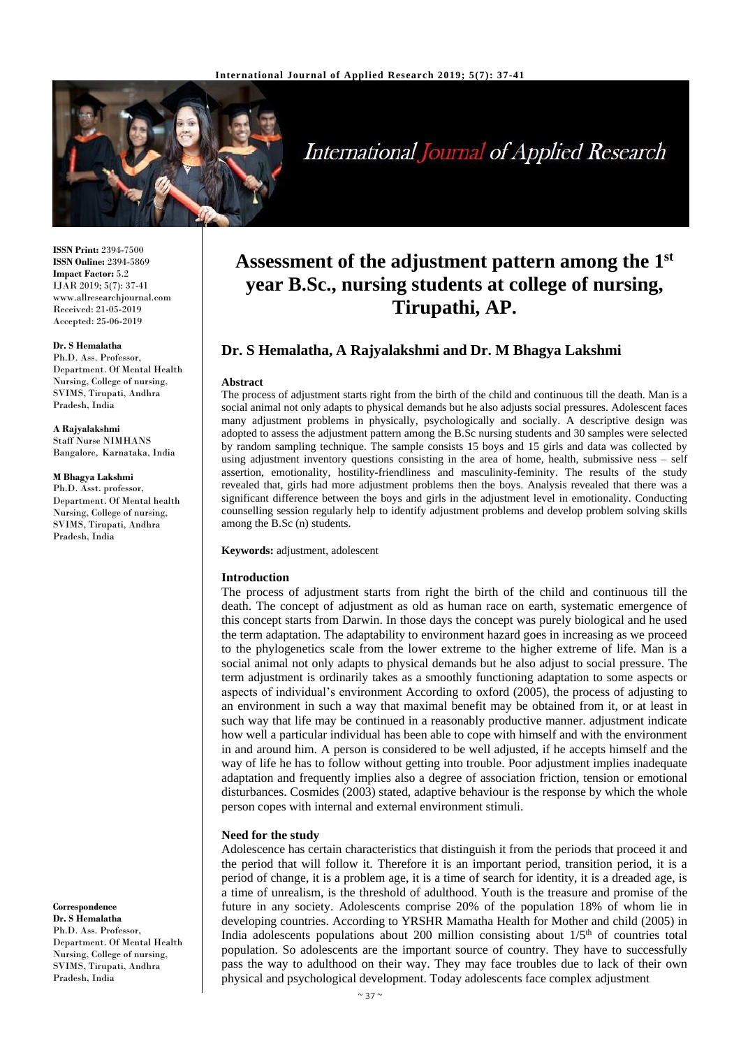

# **International Journal of Applied Research**

**ISSN Print:** 2394-7500 **ISSN Online:** 2394-5869 **Impact Factor:** 5.2 IJAR 2019; 5(7): 37-41 www.allresearchjournal.com Received: 21-05-2019 Accepted: 25-06-2019

#### **Dr. S Hemalatha**

Ph.D. Ass. Professor, Department. Of Mental Health Nursing, College of nursing, SVIMS, Tirupati, Andhra Pradesh, India

#### **A Rajyalakshmi**

Staff Nurse NIMHANS Bangalore, Karnataka, India

#### **M Bhagya Lakshmi**

Ph.D. Asst. professor, Department. Of Mental health Nursing, College of nursing, SVIMS, Tirupati, Andhra Pradesh, India

**Correspondence Dr. S Hemalatha**

Ph.D. Ass. Professor, Department. Of Mental Health Nursing, College of nursing, SVIMS, Tirupati, Andhra Pradesh, India

## **Assessment of the adjustment pattern among the 1st year B.Sc., nursing students at college of nursing, Tirupathi, AP.**

## **Dr. S Hemalatha, A Rajyalakshmi and Dr. M Bhagya Lakshmi**

#### **Abstract**

The process of adjustment starts right from the birth of the child and continuous till the death. Man is a social animal not only adapts to physical demands but he also adjusts social pressures. Adolescent faces many adjustment problems in physically, psychologically and socially. A descriptive design was adopted to assess the adjustment pattern among the B.Sc nursing students and 30 samples were selected by random sampling technique. The sample consists 15 boys and 15 girls and data was collected by using adjustment inventory questions consisting in the area of home, health, submissive ness – self assertion, emotionality, hostility-friendliness and masculinity-feminity. The results of the study revealed that, girls had more adjustment problems then the boys. Analysis revealed that there was a significant difference between the boys and girls in the adjustment level in emotionality. Conducting counselling session regularly help to identify adjustment problems and develop problem solving skills among the B.Sc (n) students.

## **Keywords:** adjustment, adolescent

#### **Introduction**

The process of adjustment starts from right the birth of the child and continuous till the death. The concept of adjustment as old as human race on earth, systematic emergence of this concept starts from Darwin. In those days the concept was purely biological and he used the term adaptation. The adaptability to environment hazard goes in increasing as we proceed to the phylogenetics scale from the lower extreme to the higher extreme of life. Man is a social animal not only adapts to physical demands but he also adjust to social pressure. The term adjustment is ordinarily takes as a smoothly functioning adaptation to some aspects or aspects of individual's environment According to oxford (2005), the process of adjusting to an environment in such a way that maximal benefit may be obtained from it, or at least in such way that life may be continued in a reasonably productive manner. adjustment indicate how well a particular individual has been able to cope with himself and with the environment in and around him. A person is considered to be well adjusted, if he accepts himself and the way of life he has to follow without getting into trouble. Poor adjustment implies inadequate adaptation and frequently implies also a degree of association friction, tension or emotional disturbances. Cosmides (2003) stated, adaptive behaviour is the response by which the whole person copes with internal and external environment stimuli.

#### **Need for the study**

Adolescence has certain characteristics that distinguish it from the periods that proceed it and the period that will follow it. Therefore it is an important period, transition period, it is a period of change, it is a problem age, it is a time of search for identity, it is a dreaded age, is a time of unrealism, is the threshold of adulthood. Youth is the treasure and promise of the future in any society. Adolescents comprise 20% of the population 18% of whom lie in developing countries. According to YRSHR Mamatha Health for Mother and child (2005) in India adolescents populations about  $200$  million consisting about  $1/5<sup>th</sup>$  of countries total population. So adolescents are the important source of country. They have to successfully pass the way to adulthood on their way. They may face troubles due to lack of their own physical and psychological development. Today adolescents face complex adjustment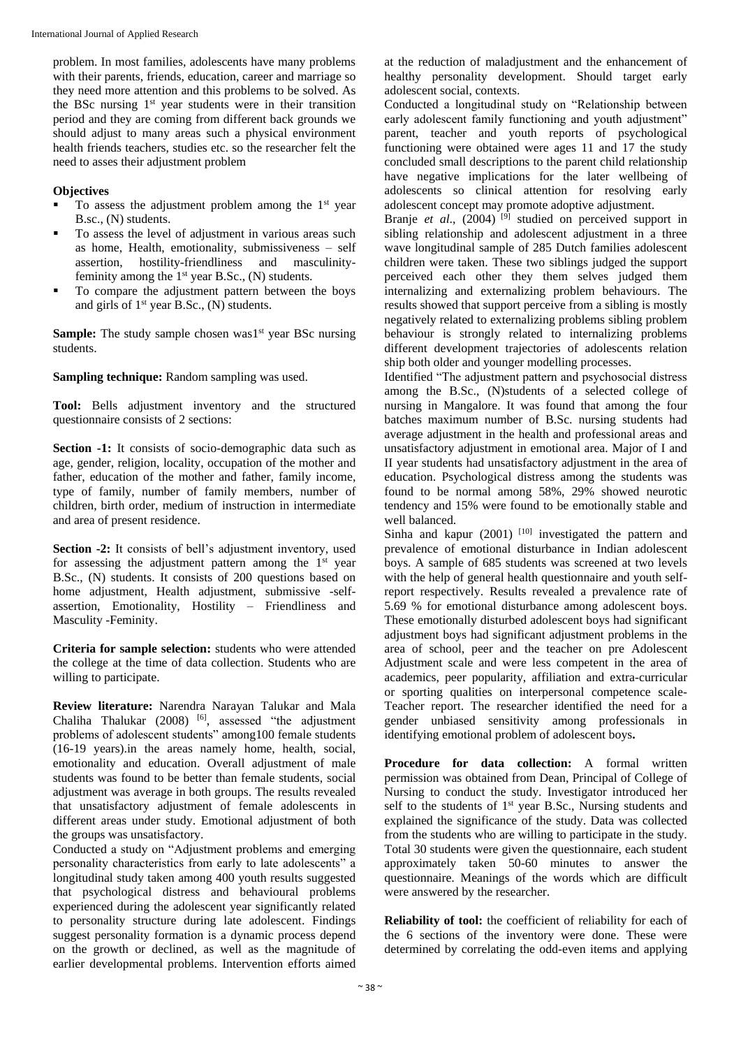problem. In most families, adolescents have many problems with their parents, friends, education, career and marriage so they need more attention and this problems to be solved. As the BSc nursing  $1<sup>st</sup>$  year students were in their transition period and they are coming from different back grounds we should adjust to many areas such a physical environment health friends teachers, studies etc. so the researcher felt the need to asses their adjustment problem

## **Objectives**

- To assess the adjustment problem among the 1<sup>st</sup> year B.sc., (N) students.
- To assess the level of adjustment in various areas such as home, Health, emotionality, submissiveness – self assertion, hostility-friendliness and masculinityfeminity among the  $1<sup>st</sup>$  year B.Sc., (N) students.
- To compare the adjustment pattern between the boys and girls of 1<sup>st</sup> year B.Sc., (N) students.

**Sample:** The study sample chosen was<sup>1st</sup> year BSc nursing students.

**Sampling technique:** Random sampling was used.

**Tool:** Bells adjustment inventory and the structured questionnaire consists of 2 sections:

**Section -1:** It consists of socio-demographic data such as age, gender, religion, locality, occupation of the mother and father, education of the mother and father, family income, type of family, number of family members, number of children, birth order, medium of instruction in intermediate and area of present residence.

**Section -2:** It consists of bell's adjustment inventory, used for assessing the adjustment pattern among the  $1<sup>st</sup>$  year B.Sc., (N) students. It consists of 200 questions based on home adjustment, Health adjustment, submissive -selfassertion, Emotionality, Hostility – Friendliness and Masculity -Feminity.

**Criteria for sample selection:** students who were attended the college at the time of data collection. Students who are willing to participate.

**Review literature:** Narendra Narayan Talukar and Mala Chaliha Thalukar  $(2008)$ <sup>[6]</sup>, assessed "the adjustment problems of adolescent students" among100 female students (16-19 years).in the areas namely home, health, social, emotionality and education. Overall adjustment of male students was found to be better than female students, social adjustment was average in both groups. The results revealed that unsatisfactory adjustment of female adolescents in different areas under study. Emotional adjustment of both the groups was unsatisfactory.

Conducted a study on "Adjustment problems and emerging personality characteristics from early to late adolescents" a longitudinal study taken among 400 youth results suggested that psychological distress and behavioural problems experienced during the adolescent year significantly related to personality structure during late adolescent. Findings suggest personality formation is a dynamic process depend on the growth or declined, as well as the magnitude of earlier developmental problems. Intervention efforts aimed

at the reduction of maladjustment and the enhancement of healthy personality development. Should target early adolescent social, contexts.

Conducted a longitudinal study on "Relationship between early adolescent family functioning and youth adjustment" parent, teacher and youth reports of psychological functioning were obtained were ages 11 and 17 the study concluded small descriptions to the parent child relationship have negative implications for the later wellbeing of adolescents so clinical attention for resolving early adolescent concept may promote adoptive adjustment.

Branje et al., (2004)<sup>[9]</sup> studied on perceived support in sibling relationship and adolescent adjustment in a three wave longitudinal sample of 285 Dutch families adolescent children were taken. These two siblings judged the support perceived each other they them selves judged them internalizing and externalizing problem behaviours. The results showed that support perceive from a sibling is mostly negatively related to externalizing problems sibling problem behaviour is strongly related to internalizing problems different development trajectories of adolescents relation ship both older and younger modelling processes.

Identified "The adjustment pattern and psychosocial distress among the B.Sc., (N)students of a selected college of nursing in Mangalore. It was found that among the four batches maximum number of B.Sc. nursing students had average adjustment in the health and professional areas and unsatisfactory adjustment in emotional area. Major of I and II year students had unsatisfactory adjustment in the area of education. Psychological distress among the students was found to be normal among 58%, 29% showed neurotic tendency and 15% were found to be emotionally stable and well balanced.

Sinha and kapur (2001)<sup>[10]</sup> investigated the pattern and prevalence of emotional disturbance in Indian adolescent boys. A sample of 685 students was screened at two levels with the help of general health questionnaire and youth selfreport respectively. Results revealed a prevalence rate of 5.69 % for emotional disturbance among adolescent boys. These emotionally disturbed adolescent boys had significant adjustment boys had significant adjustment problems in the area of school, peer and the teacher on pre Adolescent Adjustment scale and were less competent in the area of academics, peer popularity, affiliation and extra-curricular or sporting qualities on interpersonal competence scale-Teacher report. The researcher identified the need for a gender unbiased sensitivity among professionals in identifying emotional problem of adolescent boys**.**

**Procedure for data collection:** A formal written permission was obtained from Dean, Principal of College of Nursing to conduct the study. Investigator introduced her self to the students of  $1<sup>st</sup>$  year B.Sc., Nursing students and explained the significance of the study. Data was collected from the students who are willing to participate in the study. Total 30 students were given the questionnaire, each student approximately taken 50-60 minutes to answer the questionnaire. Meanings of the words which are difficult were answered by the researcher.

**Reliability of tool:** the coefficient of reliability for each of the 6 sections of the inventory were done. These were determined by correlating the odd-even items and applying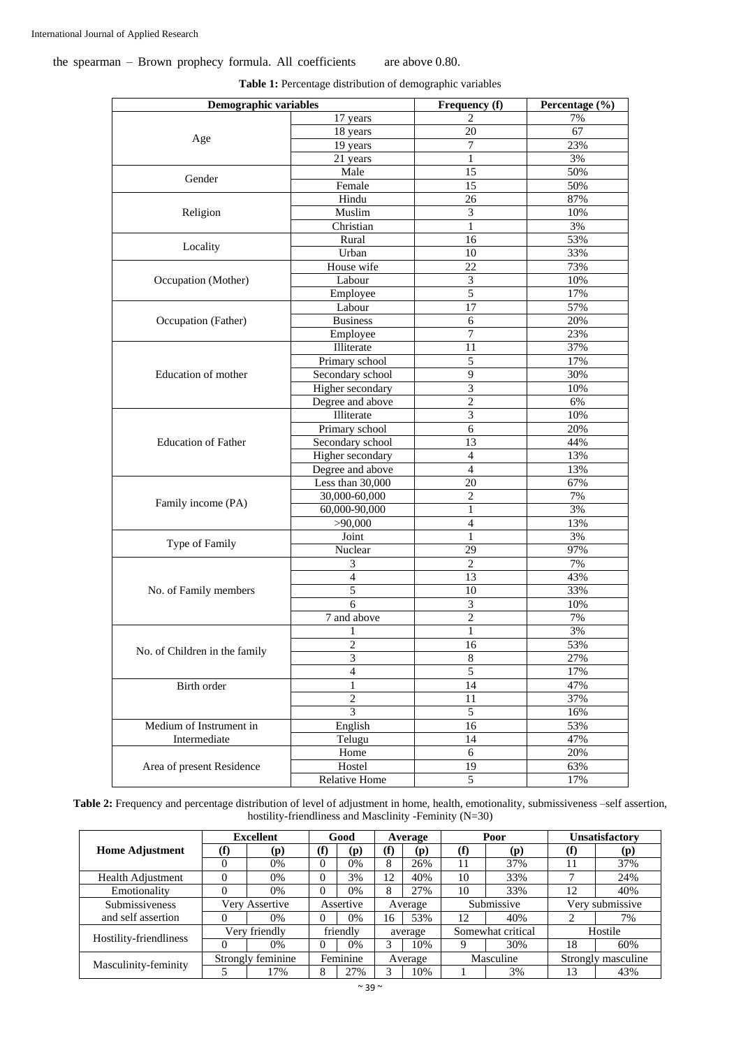## the spearman – Brown prophecy formula. All coefficients are above 0.80.

| $\overline{17}$ years<br>7%<br>$\overline{67}$<br>18 years<br>20<br>Age<br>$\overline{7}$<br>23%<br>19 years<br>3%<br>21 years<br>1<br>Male<br>15<br>50%<br>Gender<br>15<br>50%<br>Female<br>Hindu<br>87%<br>26<br>3<br>10%<br>Muslim<br>Religion<br>Christian<br>1<br>3%<br>53%<br>Rural<br>16<br>Locality<br>Urban<br>33%<br>10<br>House wife<br>22<br>73%<br>Labour<br>3<br>10%<br>Occupation (Mother)<br>$\overline{5}$<br>17%<br>Employee<br>57%<br>Labour<br>17<br>20%<br><b>Business</b><br>6<br>Occupation (Father)<br>7<br>23%<br>Employee<br>Illiterate<br>11<br>37%<br>Primary school<br>5<br>17%<br>Education of mother<br>Secondary school<br>9<br>30%<br>3<br>Higher secondary<br>10%<br>Degree and above<br>$\overline{c}$<br>6%<br>3<br>Illiterate<br>10%<br>Primary school<br>6<br>20%<br><b>Education of Father</b><br>Secondary school<br>13<br>44%<br>Higher secondary<br>13%<br>4<br>$\overline{4}$<br>13%<br>Degree and above<br>Less than 30,000<br>67%<br>20<br>$\overline{c}$<br>7%<br>30,000-60,000<br>Family income (PA)<br>60,000-90,000<br>1<br>3%<br>13%<br>>90,000<br>4<br>3%<br>Joint<br>1<br>Type of Family<br>29<br>97%<br>Nuclear<br>7%<br>3<br>2<br>$\overline{4}$<br>13<br>43%<br>33%<br>No. of Family members<br>5<br>10<br>6<br>3<br>10%<br>$\overline{7}$ and above<br>2<br>7%<br>3%<br>1<br>1<br>$\mathbf{2}$<br>53%<br>16<br>No. of Children in the family<br>$\sqrt{3}$<br>$\,$ 8 $\,$<br>27%<br>5<br>$\overline{4}$<br>17%<br>14<br>Birth order<br>1<br>47%<br>$\overline{2}$<br>37%<br>11<br>$\overline{3}$<br>$\sqrt{5}$<br>16%<br>English<br>Medium of Instrument in<br>53%<br>16<br>Intermediate<br>Telugu<br>47%<br>14<br>6<br>20%<br>Home<br>Area of present Residence<br>Hostel<br>19<br>63%<br>$\overline{5}$<br>Relative Home<br>17% | <b>Demographic variables</b> |  | Frequency (f) | Percentage (%) |
|-------------------------------------------------------------------------------------------------------------------------------------------------------------------------------------------------------------------------------------------------------------------------------------------------------------------------------------------------------------------------------------------------------------------------------------------------------------------------------------------------------------------------------------------------------------------------------------------------------------------------------------------------------------------------------------------------------------------------------------------------------------------------------------------------------------------------------------------------------------------------------------------------------------------------------------------------------------------------------------------------------------------------------------------------------------------------------------------------------------------------------------------------------------------------------------------------------------------------------------------------------------------------------------------------------------------------------------------------------------------------------------------------------------------------------------------------------------------------------------------------------------------------------------------------------------------------------------------------------------------------------------------------------------------------------------------------------------------------------------------------------------------------------------------|------------------------------|--|---------------|----------------|
|                                                                                                                                                                                                                                                                                                                                                                                                                                                                                                                                                                                                                                                                                                                                                                                                                                                                                                                                                                                                                                                                                                                                                                                                                                                                                                                                                                                                                                                                                                                                                                                                                                                                                                                                                                                           |                              |  |               |                |
|                                                                                                                                                                                                                                                                                                                                                                                                                                                                                                                                                                                                                                                                                                                                                                                                                                                                                                                                                                                                                                                                                                                                                                                                                                                                                                                                                                                                                                                                                                                                                                                                                                                                                                                                                                                           |                              |  |               |                |
|                                                                                                                                                                                                                                                                                                                                                                                                                                                                                                                                                                                                                                                                                                                                                                                                                                                                                                                                                                                                                                                                                                                                                                                                                                                                                                                                                                                                                                                                                                                                                                                                                                                                                                                                                                                           |                              |  |               |                |
|                                                                                                                                                                                                                                                                                                                                                                                                                                                                                                                                                                                                                                                                                                                                                                                                                                                                                                                                                                                                                                                                                                                                                                                                                                                                                                                                                                                                                                                                                                                                                                                                                                                                                                                                                                                           |                              |  |               |                |
|                                                                                                                                                                                                                                                                                                                                                                                                                                                                                                                                                                                                                                                                                                                                                                                                                                                                                                                                                                                                                                                                                                                                                                                                                                                                                                                                                                                                                                                                                                                                                                                                                                                                                                                                                                                           |                              |  |               |                |
|                                                                                                                                                                                                                                                                                                                                                                                                                                                                                                                                                                                                                                                                                                                                                                                                                                                                                                                                                                                                                                                                                                                                                                                                                                                                                                                                                                                                                                                                                                                                                                                                                                                                                                                                                                                           |                              |  |               |                |
|                                                                                                                                                                                                                                                                                                                                                                                                                                                                                                                                                                                                                                                                                                                                                                                                                                                                                                                                                                                                                                                                                                                                                                                                                                                                                                                                                                                                                                                                                                                                                                                                                                                                                                                                                                                           |                              |  |               |                |
|                                                                                                                                                                                                                                                                                                                                                                                                                                                                                                                                                                                                                                                                                                                                                                                                                                                                                                                                                                                                                                                                                                                                                                                                                                                                                                                                                                                                                                                                                                                                                                                                                                                                                                                                                                                           |                              |  |               |                |
|                                                                                                                                                                                                                                                                                                                                                                                                                                                                                                                                                                                                                                                                                                                                                                                                                                                                                                                                                                                                                                                                                                                                                                                                                                                                                                                                                                                                                                                                                                                                                                                                                                                                                                                                                                                           |                              |  |               |                |
|                                                                                                                                                                                                                                                                                                                                                                                                                                                                                                                                                                                                                                                                                                                                                                                                                                                                                                                                                                                                                                                                                                                                                                                                                                                                                                                                                                                                                                                                                                                                                                                                                                                                                                                                                                                           |                              |  |               |                |
|                                                                                                                                                                                                                                                                                                                                                                                                                                                                                                                                                                                                                                                                                                                                                                                                                                                                                                                                                                                                                                                                                                                                                                                                                                                                                                                                                                                                                                                                                                                                                                                                                                                                                                                                                                                           |                              |  |               |                |
|                                                                                                                                                                                                                                                                                                                                                                                                                                                                                                                                                                                                                                                                                                                                                                                                                                                                                                                                                                                                                                                                                                                                                                                                                                                                                                                                                                                                                                                                                                                                                                                                                                                                                                                                                                                           |                              |  |               |                |
|                                                                                                                                                                                                                                                                                                                                                                                                                                                                                                                                                                                                                                                                                                                                                                                                                                                                                                                                                                                                                                                                                                                                                                                                                                                                                                                                                                                                                                                                                                                                                                                                                                                                                                                                                                                           |                              |  |               |                |
|                                                                                                                                                                                                                                                                                                                                                                                                                                                                                                                                                                                                                                                                                                                                                                                                                                                                                                                                                                                                                                                                                                                                                                                                                                                                                                                                                                                                                                                                                                                                                                                                                                                                                                                                                                                           |                              |  |               |                |
|                                                                                                                                                                                                                                                                                                                                                                                                                                                                                                                                                                                                                                                                                                                                                                                                                                                                                                                                                                                                                                                                                                                                                                                                                                                                                                                                                                                                                                                                                                                                                                                                                                                                                                                                                                                           |                              |  |               |                |
|                                                                                                                                                                                                                                                                                                                                                                                                                                                                                                                                                                                                                                                                                                                                                                                                                                                                                                                                                                                                                                                                                                                                                                                                                                                                                                                                                                                                                                                                                                                                                                                                                                                                                                                                                                                           |                              |  |               |                |
|                                                                                                                                                                                                                                                                                                                                                                                                                                                                                                                                                                                                                                                                                                                                                                                                                                                                                                                                                                                                                                                                                                                                                                                                                                                                                                                                                                                                                                                                                                                                                                                                                                                                                                                                                                                           |                              |  |               |                |
|                                                                                                                                                                                                                                                                                                                                                                                                                                                                                                                                                                                                                                                                                                                                                                                                                                                                                                                                                                                                                                                                                                                                                                                                                                                                                                                                                                                                                                                                                                                                                                                                                                                                                                                                                                                           |                              |  |               |                |
|                                                                                                                                                                                                                                                                                                                                                                                                                                                                                                                                                                                                                                                                                                                                                                                                                                                                                                                                                                                                                                                                                                                                                                                                                                                                                                                                                                                                                                                                                                                                                                                                                                                                                                                                                                                           |                              |  |               |                |
|                                                                                                                                                                                                                                                                                                                                                                                                                                                                                                                                                                                                                                                                                                                                                                                                                                                                                                                                                                                                                                                                                                                                                                                                                                                                                                                                                                                                                                                                                                                                                                                                                                                                                                                                                                                           |                              |  |               |                |
|                                                                                                                                                                                                                                                                                                                                                                                                                                                                                                                                                                                                                                                                                                                                                                                                                                                                                                                                                                                                                                                                                                                                                                                                                                                                                                                                                                                                                                                                                                                                                                                                                                                                                                                                                                                           |                              |  |               |                |
|                                                                                                                                                                                                                                                                                                                                                                                                                                                                                                                                                                                                                                                                                                                                                                                                                                                                                                                                                                                                                                                                                                                                                                                                                                                                                                                                                                                                                                                                                                                                                                                                                                                                                                                                                                                           |                              |  |               |                |
|                                                                                                                                                                                                                                                                                                                                                                                                                                                                                                                                                                                                                                                                                                                                                                                                                                                                                                                                                                                                                                                                                                                                                                                                                                                                                                                                                                                                                                                                                                                                                                                                                                                                                                                                                                                           |                              |  |               |                |
|                                                                                                                                                                                                                                                                                                                                                                                                                                                                                                                                                                                                                                                                                                                                                                                                                                                                                                                                                                                                                                                                                                                                                                                                                                                                                                                                                                                                                                                                                                                                                                                                                                                                                                                                                                                           |                              |  |               |                |
|                                                                                                                                                                                                                                                                                                                                                                                                                                                                                                                                                                                                                                                                                                                                                                                                                                                                                                                                                                                                                                                                                                                                                                                                                                                                                                                                                                                                                                                                                                                                                                                                                                                                                                                                                                                           |                              |  |               |                |
|                                                                                                                                                                                                                                                                                                                                                                                                                                                                                                                                                                                                                                                                                                                                                                                                                                                                                                                                                                                                                                                                                                                                                                                                                                                                                                                                                                                                                                                                                                                                                                                                                                                                                                                                                                                           |                              |  |               |                |
|                                                                                                                                                                                                                                                                                                                                                                                                                                                                                                                                                                                                                                                                                                                                                                                                                                                                                                                                                                                                                                                                                                                                                                                                                                                                                                                                                                                                                                                                                                                                                                                                                                                                                                                                                                                           |                              |  |               |                |
|                                                                                                                                                                                                                                                                                                                                                                                                                                                                                                                                                                                                                                                                                                                                                                                                                                                                                                                                                                                                                                                                                                                                                                                                                                                                                                                                                                                                                                                                                                                                                                                                                                                                                                                                                                                           |                              |  |               |                |
|                                                                                                                                                                                                                                                                                                                                                                                                                                                                                                                                                                                                                                                                                                                                                                                                                                                                                                                                                                                                                                                                                                                                                                                                                                                                                                                                                                                                                                                                                                                                                                                                                                                                                                                                                                                           |                              |  |               |                |
|                                                                                                                                                                                                                                                                                                                                                                                                                                                                                                                                                                                                                                                                                                                                                                                                                                                                                                                                                                                                                                                                                                                                                                                                                                                                                                                                                                                                                                                                                                                                                                                                                                                                                                                                                                                           |                              |  |               |                |
|                                                                                                                                                                                                                                                                                                                                                                                                                                                                                                                                                                                                                                                                                                                                                                                                                                                                                                                                                                                                                                                                                                                                                                                                                                                                                                                                                                                                                                                                                                                                                                                                                                                                                                                                                                                           |                              |  |               |                |
|                                                                                                                                                                                                                                                                                                                                                                                                                                                                                                                                                                                                                                                                                                                                                                                                                                                                                                                                                                                                                                                                                                                                                                                                                                                                                                                                                                                                                                                                                                                                                                                                                                                                                                                                                                                           |                              |  |               |                |
|                                                                                                                                                                                                                                                                                                                                                                                                                                                                                                                                                                                                                                                                                                                                                                                                                                                                                                                                                                                                                                                                                                                                                                                                                                                                                                                                                                                                                                                                                                                                                                                                                                                                                                                                                                                           |                              |  |               |                |
|                                                                                                                                                                                                                                                                                                                                                                                                                                                                                                                                                                                                                                                                                                                                                                                                                                                                                                                                                                                                                                                                                                                                                                                                                                                                                                                                                                                                                                                                                                                                                                                                                                                                                                                                                                                           |                              |  |               |                |
|                                                                                                                                                                                                                                                                                                                                                                                                                                                                                                                                                                                                                                                                                                                                                                                                                                                                                                                                                                                                                                                                                                                                                                                                                                                                                                                                                                                                                                                                                                                                                                                                                                                                                                                                                                                           |                              |  |               |                |
|                                                                                                                                                                                                                                                                                                                                                                                                                                                                                                                                                                                                                                                                                                                                                                                                                                                                                                                                                                                                                                                                                                                                                                                                                                                                                                                                                                                                                                                                                                                                                                                                                                                                                                                                                                                           |                              |  |               |                |
|                                                                                                                                                                                                                                                                                                                                                                                                                                                                                                                                                                                                                                                                                                                                                                                                                                                                                                                                                                                                                                                                                                                                                                                                                                                                                                                                                                                                                                                                                                                                                                                                                                                                                                                                                                                           |                              |  |               |                |
|                                                                                                                                                                                                                                                                                                                                                                                                                                                                                                                                                                                                                                                                                                                                                                                                                                                                                                                                                                                                                                                                                                                                                                                                                                                                                                                                                                                                                                                                                                                                                                                                                                                                                                                                                                                           |                              |  |               |                |
|                                                                                                                                                                                                                                                                                                                                                                                                                                                                                                                                                                                                                                                                                                                                                                                                                                                                                                                                                                                                                                                                                                                                                                                                                                                                                                                                                                                                                                                                                                                                                                                                                                                                                                                                                                                           |                              |  |               |                |
|                                                                                                                                                                                                                                                                                                                                                                                                                                                                                                                                                                                                                                                                                                                                                                                                                                                                                                                                                                                                                                                                                                                                                                                                                                                                                                                                                                                                                                                                                                                                                                                                                                                                                                                                                                                           |                              |  |               |                |
|                                                                                                                                                                                                                                                                                                                                                                                                                                                                                                                                                                                                                                                                                                                                                                                                                                                                                                                                                                                                                                                                                                                                                                                                                                                                                                                                                                                                                                                                                                                                                                                                                                                                                                                                                                                           |                              |  |               |                |
|                                                                                                                                                                                                                                                                                                                                                                                                                                                                                                                                                                                                                                                                                                                                                                                                                                                                                                                                                                                                                                                                                                                                                                                                                                                                                                                                                                                                                                                                                                                                                                                                                                                                                                                                                                                           |                              |  |               |                |
|                                                                                                                                                                                                                                                                                                                                                                                                                                                                                                                                                                                                                                                                                                                                                                                                                                                                                                                                                                                                                                                                                                                                                                                                                                                                                                                                                                                                                                                                                                                                                                                                                                                                                                                                                                                           |                              |  |               |                |
|                                                                                                                                                                                                                                                                                                                                                                                                                                                                                                                                                                                                                                                                                                                                                                                                                                                                                                                                                                                                                                                                                                                                                                                                                                                                                                                                                                                                                                                                                                                                                                                                                                                                                                                                                                                           |                              |  |               |                |
|                                                                                                                                                                                                                                                                                                                                                                                                                                                                                                                                                                                                                                                                                                                                                                                                                                                                                                                                                                                                                                                                                                                                                                                                                                                                                                                                                                                                                                                                                                                                                                                                                                                                                                                                                                                           |                              |  |               |                |
|                                                                                                                                                                                                                                                                                                                                                                                                                                                                                                                                                                                                                                                                                                                                                                                                                                                                                                                                                                                                                                                                                                                                                                                                                                                                                                                                                                                                                                                                                                                                                                                                                                                                                                                                                                                           |                              |  |               |                |
|                                                                                                                                                                                                                                                                                                                                                                                                                                                                                                                                                                                                                                                                                                                                                                                                                                                                                                                                                                                                                                                                                                                                                                                                                                                                                                                                                                                                                                                                                                                                                                                                                                                                                                                                                                                           |                              |  |               |                |
|                                                                                                                                                                                                                                                                                                                                                                                                                                                                                                                                                                                                                                                                                                                                                                                                                                                                                                                                                                                                                                                                                                                                                                                                                                                                                                                                                                                                                                                                                                                                                                                                                                                                                                                                                                                           |                              |  |               |                |
|                                                                                                                                                                                                                                                                                                                                                                                                                                                                                                                                                                                                                                                                                                                                                                                                                                                                                                                                                                                                                                                                                                                                                                                                                                                                                                                                                                                                                                                                                                                                                                                                                                                                                                                                                                                           |                              |  |               |                |
|                                                                                                                                                                                                                                                                                                                                                                                                                                                                                                                                                                                                                                                                                                                                                                                                                                                                                                                                                                                                                                                                                                                                                                                                                                                                                                                                                                                                                                                                                                                                                                                                                                                                                                                                                                                           |                              |  |               |                |

**Table 1:** Percentage distribution of demographic variables

Table 2: Frequency and percentage distribution of level of adjustment in home, health, emotionality, submissiveness -self assertion, hostility-friendliness and Masclinity -Feminity (N=30)

|                          | <b>Excellent</b>  |                | Good     |           | Average |         | Poor      |                   | Unsatisfactory     |                 |
|--------------------------|-------------------|----------------|----------|-----------|---------|---------|-----------|-------------------|--------------------|-----------------|
| <b>Home Adjustment</b>   | (f)               | (p)            | $\bf(f)$ | (p)       | (f)     | (p)     | $\bf(f)$  | (p)               | (f)                | (p)             |
|                          | $\Omega$          | 0%             | $\Omega$ | 0%        | 8       | 26%     | 11        | 37%               | 11                 | 37%             |
| <b>Health Adjustment</b> | $\Omega$          | 0%             | $\Omega$ | 3%        | 12      | 40%     | 10        | 33%               |                    | 24%             |
| Emotionality             | $\Omega$          | 0%             | 0        | 0%        | 8       | 27%     | 10        | 33%               | 12                 | 40%             |
| Submissiveness           |                   | Verv Assertive |          | Assertive |         | Average |           | Submissive        |                    | Verv submissive |
| and self assertion       | $\theta$          | 0%             | 0        | 0%        | 16      | 53%     | 12        | 40%               |                    | 7%              |
|                          |                   | Very friendly  |          | friendly  |         | average |           | Somewhat critical | Hostile            |                 |
| Hostility-friendliness   | $\Omega$          | 0%             | 0        | 0%        | 3       | 10%     | Q         | 30%               | 18                 | 60%             |
| Masculinity-feminity     | Strongly feminine |                | Feminine |           | Average |         | Masculine |                   | Strongly masculine |                 |
|                          |                   | 17%            |          | 27%       |         | 10%     |           | 3%                | 13                 | 43%             |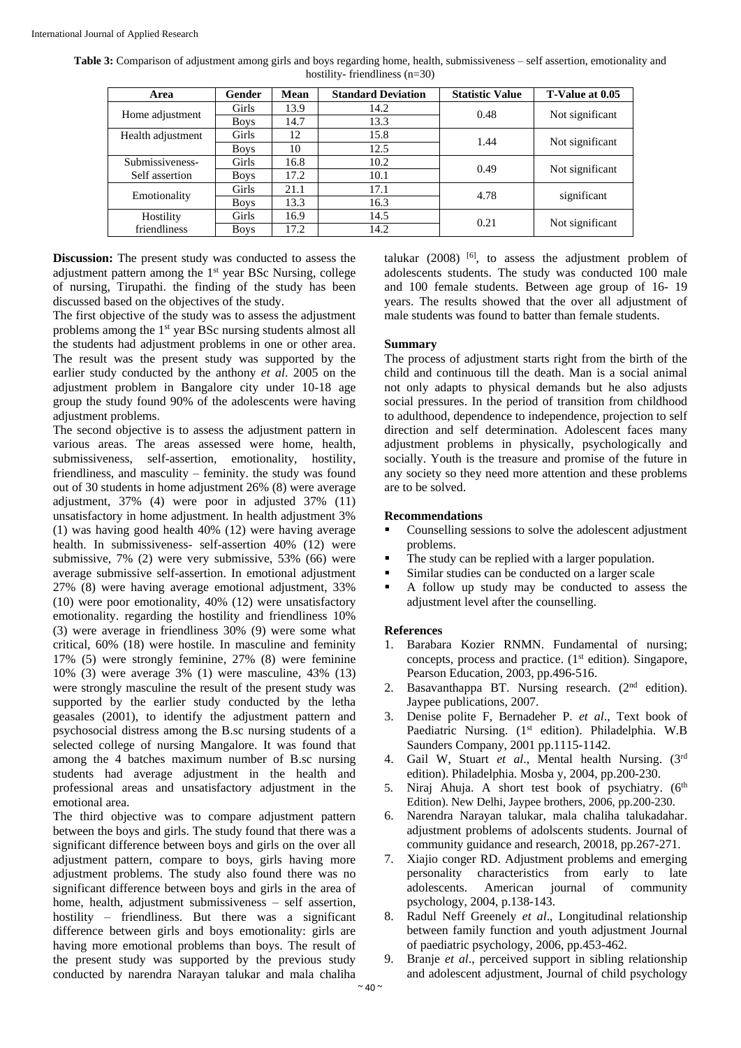| Table 3: Comparison of adjustment among girls and boys regarding home, health, submissiveness - self assertion, emotionality and |                                 |  |  |
|----------------------------------------------------------------------------------------------------------------------------------|---------------------------------|--|--|
|                                                                                                                                  | hostility-friendliness $(n=30)$ |  |  |

| Area              | Gender       | <b>Mean</b> | <b>Standard Deviation</b> | <b>Statistic Value</b> | T-Value at 0.05 |  |
|-------------------|--------------|-------------|---------------------------|------------------------|-----------------|--|
| Home adjustment   | Girls        | 13.9        | 14.2                      | 0.48                   | Not significant |  |
|                   | <b>Boys</b>  | 14.7        | 13.3                      |                        |                 |  |
| Health adjustment | <b>Girls</b> | 12          | 15.8                      | 1.44                   | Not significant |  |
|                   | <b>Boys</b>  | 10          | 12.5                      |                        |                 |  |
| Submissiveness-   | <b>Girls</b> | 16.8        | 10.2                      | 0.49                   | Not significant |  |
| Self assertion    | <b>Boys</b>  | 17.2        | 10.1                      |                        |                 |  |
|                   | Girls        | 21.1        | 17.1                      | 4.78                   |                 |  |
| Emotionality      | <b>Boys</b>  | 13.3        | 16.3                      |                        | significant     |  |
| Hostility         | <b>Girls</b> | 16.9        | 14.5                      | 0.21                   | Not significant |  |
| friendliness      | <b>Boys</b>  | 17.2        | 14.2                      |                        |                 |  |

**Discussion:** The present study was conducted to assess the adjustment pattern among the 1<sup>st</sup> year BSc Nursing, college of nursing, Tirupathi. the finding of the study has been discussed based on the objectives of the study.

The first objective of the study was to assess the adjustment problems among the 1<sup>st</sup> year BSc nursing students almost all the students had adjustment problems in one or other area. The result was the present study was supported by the earlier study conducted by the anthony *et al*. 2005 on the adjustment problem in Bangalore city under 10-18 age group the study found 90% of the adolescents were having adjustment problems.

The second objective is to assess the adjustment pattern in various areas. The areas assessed were home, health, submissiveness, self-assertion, emotionality, hostility, friendliness, and masculity – feminity. the study was found out of 30 students in home adjustment 26% (8) were average adjustment, 37% (4) were poor in adjusted 37% (11) unsatisfactory in home adjustment. In health adjustment 3% (1) was having good health 40% (12) were having average health. In submissiveness- self-assertion 40% (12) were submissive, 7% (2) were very submissive, 53% (66) were average submissive self-assertion. In emotional adjustment 27% (8) were having average emotional adjustment, 33% (10) were poor emotionality, 40% (12) were unsatisfactory emotionality. regarding the hostility and friendliness 10% (3) were average in friendliness 30% (9) were some what critical, 60% (18) were hostile. In masculine and feminity 17% (5) were strongly feminine, 27% (8) were feminine 10% (3) were average 3% (1) were masculine, 43% (13) were strongly masculine the result of the present study was supported by the earlier study conducted by the letha geasales (2001), to identify the adjustment pattern and psychosocial distress among the B.sc nursing students of a selected college of nursing Mangalore. It was found that among the 4 batches maximum number of B.sc nursing students had average adjustment in the health and professional areas and unsatisfactory adjustment in the emotional area.

The third objective was to compare adjustment pattern between the boys and girls. The study found that there was a significant difference between boys and girls on the over all adjustment pattern, compare to boys, girls having more adjustment problems. The study also found there was no significant difference between boys and girls in the area of home, health, adjustment submissiveness – self assertion, hostility – friendliness. But there was a significant difference between girls and boys emotionality: girls are having more emotional problems than boys. The result of the present study was supported by the previous study conducted by narendra Narayan talukar and mala chaliha

talukar  $(2008)$  <sup>[6]</sup>, to assess the adjustment problem of adolescents students. The study was conducted 100 male and 100 female students. Between age group of 16- 19 years. The results showed that the over all adjustment of male students was found to batter than female students.

#### **Summary**

The process of adjustment starts right from the birth of the child and continuous till the death. Man is a social animal not only adapts to physical demands but he also adjusts social pressures. In the period of transition from childhood to adulthood, dependence to independence, projection to self direction and self determination. Adolescent faces many adjustment problems in physically, psychologically and socially. Youth is the treasure and promise of the future in any society so they need more attention and these problems are to be solved.

#### **Recommendations**

- Counselling sessions to solve the adolescent adjustment problems.
- The study can be replied with a larger population.
- Similar studies can be conducted on a larger scale
- A follow up study may be conducted to assess the adjustment level after the counselling.

## **References**

- 1. Barabara Kozier RNMN. Fundamental of nursing; concepts, process and practice. (1<sup>st</sup> edition). Singapore, Pearson Education, 2003, pp.496-516.
- 2. Basavanthappa BT. Nursing research. (2nd edition). Jaypee publications, 2007.
- 3. Denise polite F, Bernadeher P. *et al*., Text book of Paediatric Nursing. (1<sup>st</sup> edition). Philadelphia. W.B Saunders Company, 2001 pp.1115-1142.
- 4. Gail W, Stuart *et al*., Mental health Nursing. (3rd edition). Philadelphia. Mosba y, 2004, pp.200-230.
- 5. Niraj Ahuja. A short test book of psychiatry. (6<sup>th</sup> Edition). New Delhi, Jaypee brothers, 2006, pp.200-230.
- 6. Narendra Narayan talukar, mala chaliha talukadahar. adjustment problems of adolscents students. Journal of community guidance and research, 20018, pp.267-271.
- 7. Xiajio conger RD. Adjustment problems and emerging personality characteristics from early to late adolescents. American journal of community psychology, 2004, p.138-143.
- 8. Radul Neff Greenely *et al*., Longitudinal relationship between family function and youth adjustment Journal of paediatric psychology, 2006, pp.453-462.
- 9. Branje *et al*., perceived support in sibling relationship and adolescent adjustment, Journal of child psychology